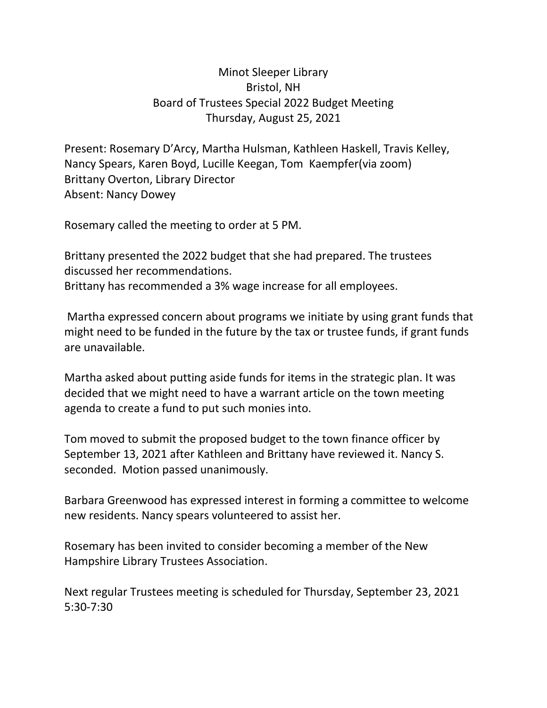## Minot Sleeper Library Bristol, NH Board of Trustees Special 2022 Budget Meeting Thursday, August 25, 2021

Present: Rosemary D'Arcy, Martha Hulsman, Kathleen Haskell, Travis Kelley, Nancy Spears, Karen Boyd, Lucille Keegan, Tom Kaempfer(via zoom) Brittany Overton, Library Director Absent: Nancy Dowey

Rosemary called the meeting to order at 5 PM.

Brittany presented the 2022 budget that she had prepared. The trustees discussed her recommendations. Brittany has recommended a 3% wage increase for all employees.

Martha expressed concern about programs we initiate by using grant funds that might need to be funded in the future by the tax or trustee funds, if grant funds are unavailable.

Martha asked about putting aside funds for items in the strategic plan. It was decided that we might need to have a warrant article on the town meeting agenda to create a fund to put such monies into.

Tom moved to submit the proposed budget to the town finance officer by September 13, 2021 after Kathleen and Brittany have reviewed it. Nancy S. seconded. Motion passed unanimously.

Barbara Greenwood has expressed interest in forming a committee to welcome new residents. Nancy spears volunteered to assist her.

Rosemary has been invited to consider becoming a member of the New Hampshire Library Trustees Association.

Next regular Trustees meeting is scheduled for Thursday, September 23, 2021 5:30-7:30